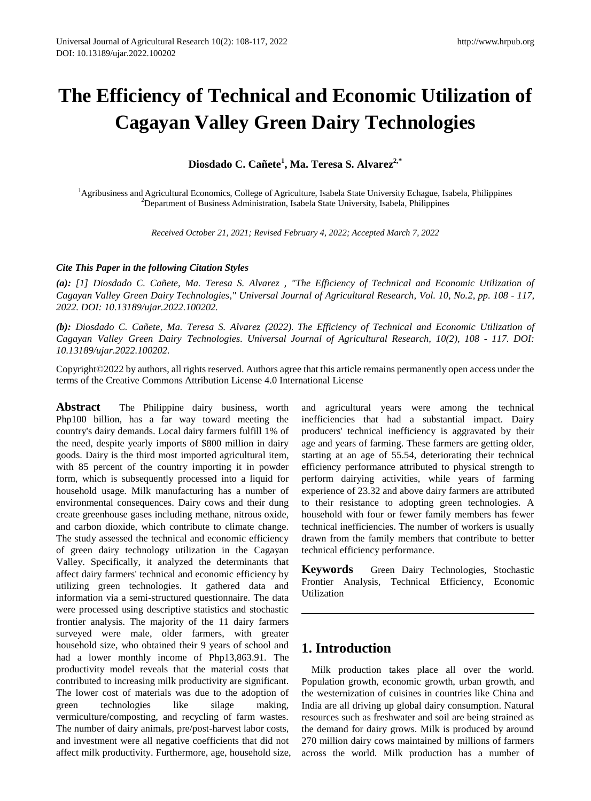# **The Efficiency of Technical and Economic Utilization of Cagayan Valley Green Dairy Technologies**

**Diosdado C. Cañete<sup>1</sup> , Ma. Teresa S. Alvarez2,\***

<sup>1</sup>Agribusiness and Agricultural Economics, College of Agriculture, Isabela State University Echague, Isabela, Philippines  $2$ Department of Business Administration, Isabela State University, Isabela, Philippines

*Received October 21, 2021; Revised February 4, 2022; Accepted March 7, 2022* 

### *Cite This Paper in the following Citation Styles*

*(a): [1] Diosdado C. Cañete, Ma. Teresa S. Alvarez , "The Efficiency of Technical and Economic Utilization of Cagayan Valley Green Dairy Technologies," Universal Journal of Agricultural Research, Vol. 10, No.2, pp. 108 - 117, 2022. DOI: 10.13189/ujar.2022.100202.* 

*(b): Diosdado C. Cañete, Ma. Teresa S. Alvarez (2022). The Efficiency of Technical and Economic Utilization of Cagayan Valley Green Dairy Technologies. Universal Journal of Agricultural Research, 10(2), 108 - 117. DOI: 10.13189/ujar.2022.100202.* 

Copyright©2022 by authors, all rights reserved. Authors agree that this article remains permanently open access under the terms of the Creative Commons Attribution License 4.0 International License

**Abstract** The Philippine dairy business, worth Php100 billion, has a far way toward meeting the country's dairy demands. Local dairy farmers fulfill 1% of the need, despite yearly imports of \$800 million in dairy goods. Dairy is the third most imported agricultural item, with 85 percent of the country importing it in powder form, which is subsequently processed into a liquid for household usage. Milk manufacturing has a number of environmental consequences. Dairy cows and their dung create greenhouse gases including methane, nitrous oxide, and carbon dioxide, which contribute to climate change. The study assessed the technical and economic efficiency of green dairy technology utilization in the Cagayan Valley. Specifically, it analyzed the determinants that affect dairy farmers' technical and economic efficiency by utilizing green technologies. It gathered data and information via a semi-structured questionnaire. The data were processed using descriptive statistics and stochastic frontier analysis. The majority of the 11 dairy farmers surveyed were male, older farmers, with greater household size, who obtained their 9 years of school and had a lower monthly income of Php13,863.91. The productivity model reveals that the material costs that contributed to increasing milk productivity are significant. The lower cost of materials was due to the adoption of green technologies like silage making, vermiculture/composting, and recycling of farm wastes. The number of dairy animals, pre/post-harvest labor costs, and investment were all negative coefficients that did not affect milk productivity. Furthermore, age, household size, and agricultural years were among the technical inefficiencies that had a substantial impact. Dairy producers' technical inefficiency is aggravated by their age and years of farming. These farmers are getting older, starting at an age of 55.54, deteriorating their technical efficiency performance attributed to physical strength to perform dairying activities, while years of farming experience of 23.32 and above dairy farmers are attributed to their resistance to adopting green technologies. A household with four or fewer family members has fewer technical inefficiencies. The number of workers is usually drawn from the family members that contribute to better technical efficiency performance.

**Keywords** Green Dairy Technologies, Stochastic Frontier Analysis, Technical Efficiency, Economic Utilization

# **1. Introduction**

Milk production takes place all over the world. Population growth, economic growth, urban growth, and the westernization of cuisines in countries like China and India are all driving up global dairy consumption. Natural resources such as freshwater and soil are being strained as the demand for dairy grows. Milk is produced by around 270 million dairy cows maintained by millions of farmers across the world. Milk production has a number of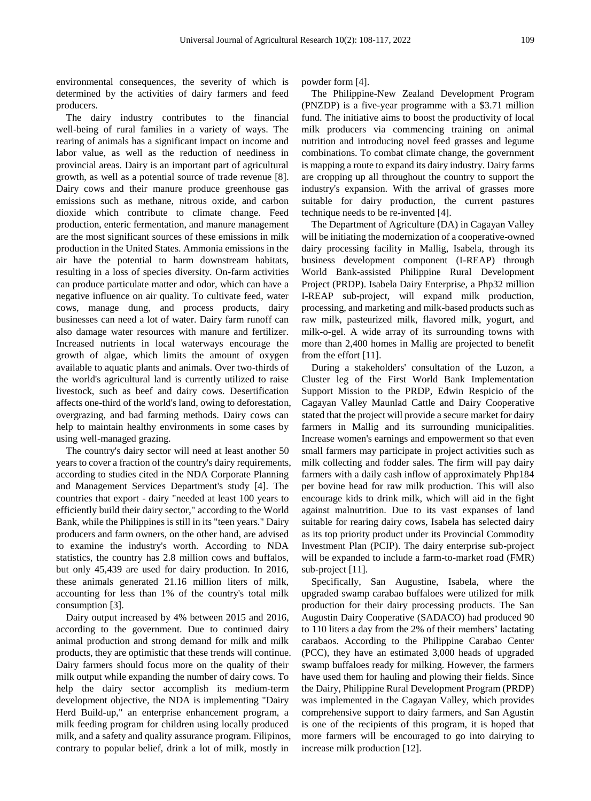environmental consequences, the severity of which is determined by the activities of dairy farmers and feed producers.

The dairy industry contributes to the financial well-being of rural families in a variety of ways. The rearing of animals has a significant impact on income and labor value, as well as the reduction of neediness in provincial areas. Dairy is an important part of agricultural growth, as well as a potential source of trade revenue [8]. Dairy cows and their manure produce greenhouse gas emissions such as methane, nitrous oxide, and carbon dioxide which contribute to climate change. Feed production, enteric fermentation, and manure management are the most significant sources of these emissions in milk production in the United States. Ammonia emissions in the air have the potential to harm downstream habitats, resulting in a loss of species diversity. On-farm activities can produce particulate matter and odor, which can have a negative influence on air quality. To cultivate feed, water cows, manage dung, and process products, dairy businesses can need a lot of water. Dairy farm runoff can also damage water resources with manure and fertilizer. Increased nutrients in local waterways encourage the growth of algae, which limits the amount of oxygen available to aquatic plants and animals. Over two-thirds of the world's agricultural land is currently utilized to raise livestock, such as beef and dairy cows. Desertification affects one-third of the world's land, owing to deforestation, overgrazing, and bad farming methods. Dairy cows can help to maintain healthy environments in some cases by using well-managed grazing.

The country's dairy sector will need at least another 50 years to cover a fraction of the country's dairy requirements, according to studies cited in the NDA Corporate Planning and Management Services Department's study [4]. The countries that export - dairy "needed at least 100 years to efficiently build their dairy sector," according to the World Bank, while the Philippines is still in its "teen years." Dairy producers and farm owners, on the other hand, are advised to examine the industry's worth. According to NDA statistics, the country has 2.8 million cows and buffalos, but only 45,439 are used for dairy production. In 2016, these animals generated 21.16 million liters of milk, accounting for less than 1% of the country's total milk consumption [3].

Dairy output increased by 4% between 2015 and 2016, according to the government. Due to continued dairy animal production and strong demand for milk and milk products, they are optimistic that these trends will continue. Dairy farmers should focus more on the quality of their milk output while expanding the number of dairy cows. To help the dairy sector accomplish its medium-term development objective, the NDA is implementing "Dairy Herd Build-up," an enterprise enhancement program, a milk feeding program for children using locally produced milk, and a safety and quality assurance program. Filipinos, contrary to popular belief, drink a lot of milk, mostly in

powder form [4].

The Philippine-New Zealand Development Program (PNZDP) is a five-year programme with a \$3.71 million fund. The initiative aims to boost the productivity of local milk producers via commencing training on animal nutrition and introducing novel feed grasses and legume combinations. To combat climate change, the government is mapping a route to expand its dairy industry. Dairy farms are cropping up all throughout the country to support the industry's expansion. With the arrival of grasses more suitable for dairy production, the current pastures technique needs to be re-invented [4].

The Department of Agriculture (DA) in Cagayan Valley will be initiating the modernization of a cooperative-owned dairy processing facility in Mallig, Isabela, through its business development component (I-REAP) through World Bank-assisted Philippine Rural Development Project (PRDP). Isabela Dairy Enterprise, a Php32 million I-REAP sub-project, will expand milk production, processing, and marketing and milk-based products such as raw milk, pasteurized milk, flavored milk, yogurt, and milk-o-gel. A wide array of its surrounding towns with more than 2,400 homes in Mallig are projected to benefit from the effort [11].

During a stakeholders' consultation of the Luzon, a Cluster leg of the First World Bank Implementation Support Mission to the PRDP, Edwin Respicio of the Cagayan Valley Maunlad Cattle and Dairy Cooperative stated that the project will provide a secure market for dairy farmers in Mallig and its surrounding municipalities. Increase women's earnings and empowerment so that even small farmers may participate in project activities such as milk collecting and fodder sales. The firm will pay dairy farmers with a daily cash inflow of approximately Php184 per bovine head for raw milk production. This will also encourage kids to drink milk, which will aid in the fight against malnutrition. Due to its vast expanses of land suitable for rearing dairy cows, Isabela has selected dairy as its top priority product under its Provincial Commodity Investment Plan (PCIP). The dairy enterprise sub-project will be expanded to include a farm-to-market road (FMR) sub-project [11].

Specifically, San Augustine, Isabela, where the upgraded swamp carabao buffaloes were utilized for milk production for their dairy processing products. The San Augustin Dairy Cooperative (SADACO) had produced 90 to 110 liters a day from the 2% of their members' lactating carabaos. According to the Philippine Carabao Center (PCC), they have an estimated 3,000 heads of upgraded swamp buffaloes ready for milking. However, the farmers have used them for hauling and plowing their fields. Since the Dairy, Philippine Rural Development Program (PRDP) was implemented in the Cagayan Valley, which provides comprehensive support to dairy farmers, and San Agustin is one of the recipients of this program, it is hoped that more farmers will be encouraged to go into dairying to increase milk production [12].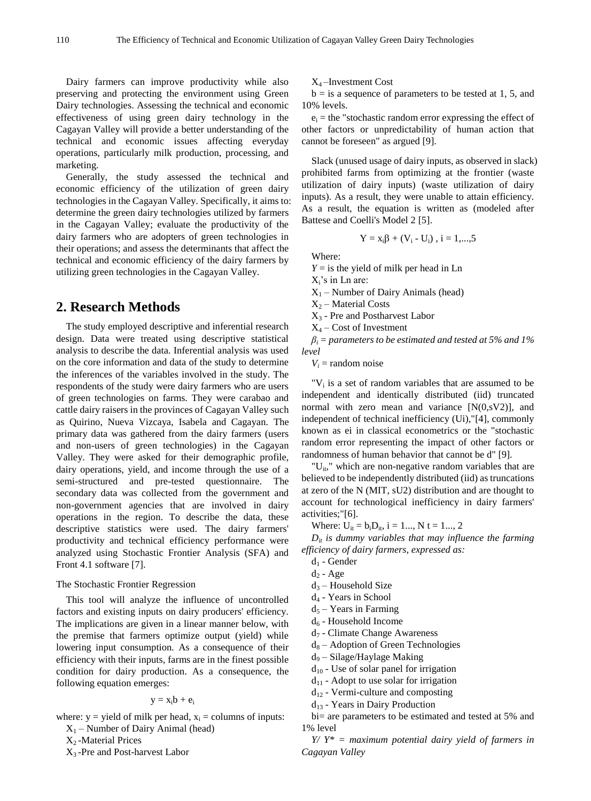Dairy farmers can improve productivity while also preserving and protecting the environment using Green Dairy technologies. Assessing the technical and economic effectiveness of using green dairy technology in the Cagayan Valley will provide a better understanding of the technical and economic issues affecting everyday operations, particularly milk production, processing, and marketing.

Generally, the study assessed the technical and economic efficiency of the utilization of green dairy technologies in the Cagayan Valley. Specifically, it aims to: determine the green dairy technologies utilized by farmers in the Cagayan Valley; evaluate the productivity of the dairy farmers who are adopters of green technologies in their operations; and assess the determinants that affect the technical and economic efficiency of the dairy farmers by utilizing green technologies in the Cagayan Valley.

## **2. Research Methods**

The study employed descriptive and inferential research design. Data were treated using descriptive statistical analysis to describe the data. Inferential analysis was used on the core information and data of the study to determine the inferences of the variables involved in the study. The respondents of the study were dairy farmers who are users of green technologies on farms. They were carabao and cattle dairy raisers in the provinces of Cagayan Valley such as Quirino, Nueva Vizcaya, Isabela and Cagayan. The primary data was gathered from the dairy farmers (users and non-users of green technologies) in the Cagayan Valley. They were asked for their demographic profile, dairy operations, yield, and income through the use of a semi-structured and pre-tested questionnaire. The secondary data was collected from the government and non-government agencies that are involved in dairy operations in the region. To describe the data, these descriptive statistics were used. The dairy farmers' productivity and technical efficiency performance were analyzed using Stochastic Frontier Analysis (SFA) and Front 4.1 software [7].

#### The Stochastic Frontier Regression

This tool will analyze the influence of uncontrolled factors and existing inputs on dairy producers' efficiency. The implications are given in a linear manner below, with the premise that farmers optimize output (yield) while lowering input consumption. As a consequence of their efficiency with their inputs, farms are in the finest possible condition for dairy production. As a consequence, the following equation emerges:

#### $y = x_i b + e_i$

where:  $y =$  yield of milk per head,  $x_i =$  columns of inputs:  $X_1$  – Number of Dairy Animal (head)

- $X_2$ -Material Prices
- X3 -Pre and Post-harvest Labor

X4 –Investment Cost

 $b = i$ s a sequence of parameters to be tested at 1, 5, and 10% levels.

 $e_i$  = the "stochastic random error expressing the effect of other factors or unpredictability of human action that cannot be foreseen" as argued [9].

Slack (unused usage of dairy inputs, as observed in slack) prohibited farms from optimizing at the frontier (waste utilization of dairy inputs) (waste utilization of dairy inputs). As a result, they were unable to attain efficiency. As a result, the equation is written as (modeled after Battese and Coelli's Model 2 [5].

$$
Y=x_i\beta+(V_i-U_i)\;,\,i=1,...,5
$$

Where:

 $Y =$  is the yield of milk per head in Ln

Xi's in Ln are:

 $X_1$  – Number of Dairy Animals (head)

 $X_2$  – Material Costs

X3 - Pre and Postharvest Labor

 $X_4$  – Cost of Investment

*βi = parameters to be estimated and tested at 5% and 1% level*

 $V_i$  = random noise

" $V_i$  is a set of random variables that are assumed to be independent and identically distributed (iid) truncated normal with zero mean and variance  $[N(0,sV2)]$ , and independent of technical inefficiency (Ui),"[4], commonly known as ei in classical econometrics or the "stochastic random error representing the impact of other factors or randomness of human behavior that cannot be d" [9].

" $U_{it}$ ," which are non-negative random variables that are believed to be independently distributed (iid) as truncations at zero of the N (MIT, sU2) distribution and are thought to account for technological inefficiency in dairy farmers' activities;"[6].

Where:  $U_{it} = b_i D_{it}$ ,  $i = 1...$ ,  $N t = 1...$ , 2

 $D_{it}$  *is dummy variables that may influence the farming efficiency of dairy farmers, expressed as:* 

 $d_1$  - Gender

- $d_5$  Years in Farming
- d6 Household Income
- d7 Climate Change Awareness
- $d_8$  Adoption of Green Technologies

 $d_9$  – Silage/Haylage Making

- $d_{10}$  Use of solar panel for irrigation
- $d_{11}$  Adopt to use solar for irrigation
- $d_{12}$  Vermi-culture and composting

 $d_{13}$  - Years in Dairy Production

bi= are parameters to be estimated and tested at 5% and 1% level

*Y/ Y\* = maximum potential dairy yield of farmers in Cagayan Valley* 

 $d_2$  - Age

 $d_3$  – Household Size

 $d_4$  - Years in School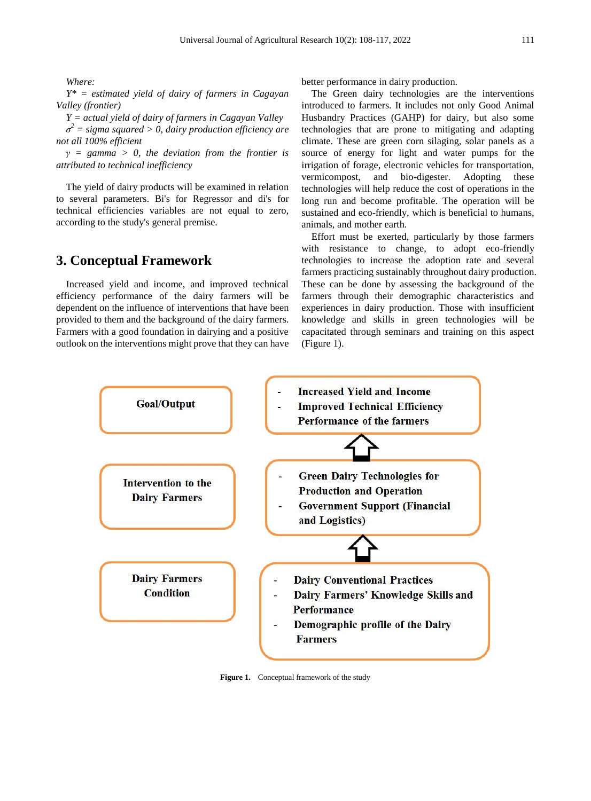*Where:* 

*Y\* = estimated yield of dairy of farmers in Cagayan Valley (frontier)* 

*Y = actual yield of dairy of farmers in Cagayan Valley* 

*σ 2 = sigma squared > 0, dairy production efficiency are not all 100% efficient* 

*γ = gamma > 0, the deviation from the frontier is attributed to technical inefficiency* 

The yield of dairy products will be examined in relation to several parameters. Bi's for Regressor and di's for technical efficiencies variables are not equal to zero, according to the study's general premise.

## **3. Conceptual Framework**

Increased yield and income, and improved technical efficiency performance of the dairy farmers will be dependent on the influence of interventions that have been provided to them and the background of the dairy farmers. Farmers with a good foundation in dairying and a positive outlook on the interventions might prove that they can have

better performance in dairy production.

The Green dairy technologies are the interventions introduced to farmers. It includes not only Good Animal Husbandry Practices (GAHP) for dairy, but also some technologies that are prone to mitigating and adapting climate. These are green corn silaging, solar panels as a source of energy for light and water pumps for the irrigation of forage, electronic vehicles for transportation, vermicompost, and bio-digester. Adopting these technologies will help reduce the cost of operations in the long run and become profitable. The operation will be sustained and eco-friendly, which is beneficial to humans, animals, and mother earth.

Effort must be exerted, particularly by those farmers with resistance to change, to adopt eco-friendly technologies to increase the adoption rate and several farmers practicing sustainably throughout dairy production. These can be done by assessing the background of the farmers through their demographic characteristics and experiences in dairy production. Those with insufficient knowledge and skills in green technologies will be capacitated through seminars and training on this aspect (Figure 1).



**Figure 1.** Conceptual framework of the study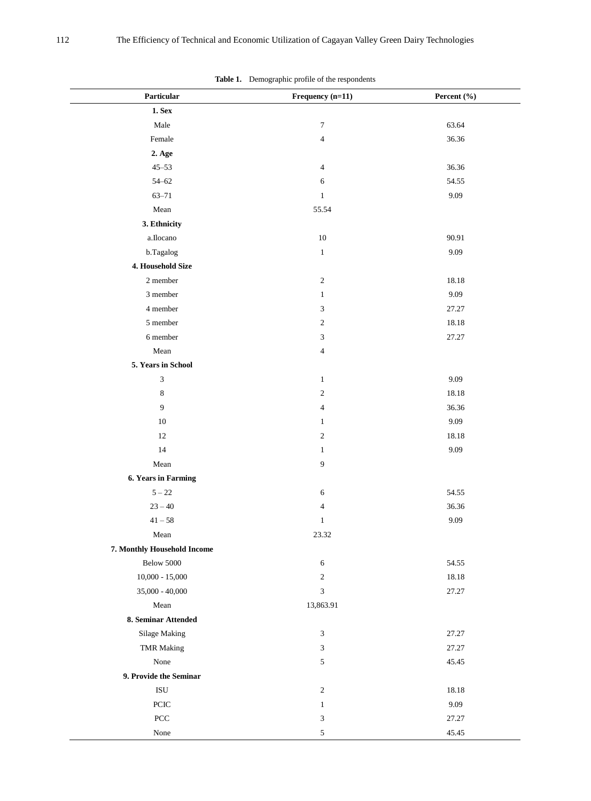| Particular                  | Frequency (n=11)         | Percent (%) |  |
|-----------------------------|--------------------------|-------------|--|
| <b>1. Sex</b>               |                          |             |  |
| Male                        | $\boldsymbol{7}$         | 63.64       |  |
| Female                      | $\overline{\mathcal{L}}$ | 36.36       |  |
| 2. Age                      |                          |             |  |
| $45 - 53$                   | 4                        | 36.36       |  |
| $54 - 62$                   | 6                        | 54.55       |  |
| $63 - 71$                   | $\mathbf{1}$             | 9.09        |  |
| ${\bf Mean}$                | 55.54                    |             |  |
| 3. Ethnicity                |                          |             |  |
| a.Ilocano                   | $10\,$                   | 90.91       |  |
| b.Tagalog                   | $\,1$                    | 9.09        |  |
| 4. Household Size           |                          |             |  |
| 2 member                    | $\mathfrak{2}$           | 18.18       |  |
| 3 member                    | $\mathbf{1}$             | 9.09        |  |
| 4 member                    | 3                        | 27.27       |  |
| 5 member                    | 2                        | 18.18       |  |
| 6 member                    | 3                        | 27.27       |  |
| ${\bf Mean}$                | 4                        |             |  |
| 5. Years in School          |                          |             |  |
| $\mathfrak{Z}$              | $\mathbf{1}$             | 9.09        |  |
| $\,8\,$                     | $\mathfrak{2}$           | 18.18       |  |
| 9                           | 4                        | 36.36       |  |
| $10\,$                      | $\mathbf{1}$             | 9.09        |  |
| 12                          | 2                        | 18.18       |  |
| 14                          | $\mathbf{1}$             | 9.09        |  |
| Mean                        | 9                        |             |  |
| 6. Years in Farming         |                          |             |  |
| $5 - 22$                    | 6                        | 54.55       |  |
| $23 - 40$                   | 4                        | 36.36       |  |
| $41 - 58$                   | $\mathbf{1}$             | 9.09        |  |
| Mean                        | 23.32                    |             |  |
| 7. Monthly Household Income |                          |             |  |
| Below 5000                  | 6                        | 54.55       |  |
| $10,000 - 15,000$           | $\sqrt{2}$               | 18.18       |  |
| $35,000 - 40,000$           | 3                        | 27.27       |  |
| Mean                        | 13,863.91                |             |  |
| 8. Seminar Attended         |                          |             |  |
| Silage Making               | 3                        | 27.27       |  |
| <b>TMR</b> Making           | 3                        | 27.27       |  |
| None                        | 5                        | 45.45       |  |
| 9. Provide the Seminar      |                          |             |  |
| $\mathbf{ISU}$              | $\sqrt{2}$               | 18.18       |  |
| $\operatorname{PCIC}$       | $\mathbf{1}$             | 9.09        |  |
| $\operatorname{PCC}$        | 3                        | 27.27       |  |
| None                        | 5                        | 45.45       |  |

**Table 1.** Demographic profile of the respondents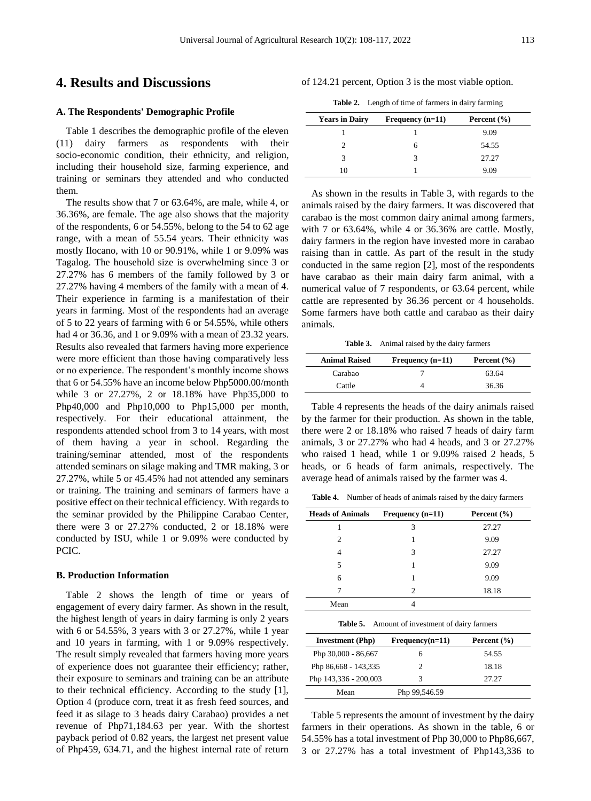## **4. Results and Discussions**

#### **A. The Respondents' Demographic Profile**

Table 1 describes the demographic profile of the eleven (11) dairy farmers as respondents with their socio-economic condition, their ethnicity, and religion, including their household size, farming experience, and training or seminars they attended and who conducted them.

The results show that 7 or 63.64%, are male, while 4, or 36.36%, are female. The age also shows that the majority of the respondents, 6 or 54.55%, belong to the 54 to 62 age range, with a mean of 55.54 years. Their ethnicity was mostly Ilocano, with 10 or 90.91%, while 1 or 9.09% was Tagalog. The household size is overwhelming since 3 or 27.27% has 6 members of the family followed by 3 or 27.27% having 4 members of the family with a mean of 4. Their experience in farming is a manifestation of their years in farming. Most of the respondents had an average of 5 to 22 years of farming with 6 or 54.55%, while others had 4 or 36.36, and 1 or 9.09% with a mean of 23.32 years. Results also revealed that farmers having more experience were more efficient than those having comparatively less or no experience. The respondent's monthly income shows that 6 or 54.55% have an income below Php5000.00/month while 3 or 27.27%, 2 or 18.18% have Php35,000 to Php40,000 and Php10,000 to Php15,000 per month, respectively. For their educational attainment, the respondents attended school from 3 to 14 years, with most of them having a year in school. Regarding the training/seminar attended, most of the respondents attended seminars on silage making and TMR making, 3 or 27.27%, while 5 or 45.45% had not attended any seminars or training. The training and seminars of farmers have a positive effect on their technical efficiency. With regards to the seminar provided by the Philippine Carabao Center, there were 3 or 27.27% conducted, 2 or 18.18% were conducted by ISU, while 1 or 9.09% were conducted by PCIC.

#### **B. Production Information**

Table 2 shows the length of time or years of engagement of every dairy farmer. As shown in the result, the highest length of years in dairy farming is only 2 years with 6 or 54.55%, 3 years with 3 or 27.27%, while 1 year and 10 years in farming, with 1 or 9.09% respectively. The result simply revealed that farmers having more years of experience does not guarantee their efficiency; rather, their exposure to seminars and training can be an attribute to their technical efficiency. According to the study [1], Option 4 (produce corn, treat it as fresh feed sources, and feed it as silage to 3 heads dairy Carabao) provides a net revenue of Php71,184.63 per year. With the shortest payback period of 0.82 years, the largest net present value of Php459, 634.71, and the highest internal rate of return

of 124.21 percent, Option 3 is the most viable option.

**Table 2.** Length of time of farmers in dairy farming

| <b>Years in Dairy</b> | Frequency $(n=11)$ | Percent $(\% )$ |
|-----------------------|--------------------|-----------------|
|                       |                    | 9.09            |
|                       | h                  | 54.55           |
| 3                     |                    | 27.27           |
| 10                    |                    | 9.09            |

As shown in the results in Table 3, with regards to the animals raised by the dairy farmers. It was discovered that carabao is the most common dairy animal among farmers, with 7 or 63.64%, while 4 or 36.36% are cattle. Mostly, dairy farmers in the region have invested more in carabao raising than in cattle. As part of the result in the study conducted in the same region [2], most of the respondents have carabao as their main dairy farm animal, with a numerical value of 7 respondents, or 63.64 percent, while cattle are represented by 36.36 percent or 4 households. Some farmers have both cattle and carabao as their dairy animals.

**Table 3.** Animal raised by the dairy farmers

| <b>Animal Raised</b> | Frequency $(n=11)$ | Percent $(\% )$ |
|----------------------|--------------------|-----------------|
| Carabao              |                    | 63.64           |
| Cattle               |                    | 36.36           |

Table 4 represents the heads of the dairy animals raised by the farmer for their production. As shown in the table, there were 2 or 18.18% who raised 7 heads of dairy farm animals, 3 or 27.27% who had 4 heads, and 3 or 27.27% who raised 1 head, while 1 or 9.09% raised 2 heads, 5 heads, or 6 heads of farm animals, respectively. The average head of animals raised by the farmer was 4.

**Table 4.** Number of heads of animals raised by the dairy farmers

| <b>Heads of Animals</b> | Frequency $(n=11)$          | Percent $(\% )$ |
|-------------------------|-----------------------------|-----------------|
|                         | 3                           | 27.27           |
| $\mathfrak{D}$          |                             | 9.09            |
| 4                       | 3                           | 27.27           |
| 5                       |                             | 9.09            |
| 6                       |                             | 9.09            |
|                         | $\mathcal{D}_{\mathcal{L}}$ | 18.18           |
| Mean                    |                             |                 |
|                         |                             |                 |

**Table 5.** Amount of investment of dairy farmers

| <b>Investment</b> (Php) | $Frequency(n=11)$ | Percent $(\% )$ |
|-------------------------|-------------------|-----------------|
| Php 30,000 - 86,667     | h                 | 54.55           |
| Php 86,668 - 143,335    |                   | 18.18           |
| Php 143,336 - 200,003   | 3                 | 27.27           |
| Mean                    | Php 99,546.59     |                 |

Table 5 represents the amount of investment by the dairy farmers in their operations. As shown in the table, 6 or 54.55% has a total investment of Php 30,000 to Php86,667, 3 or 27.27% has a total investment of Php143,336 to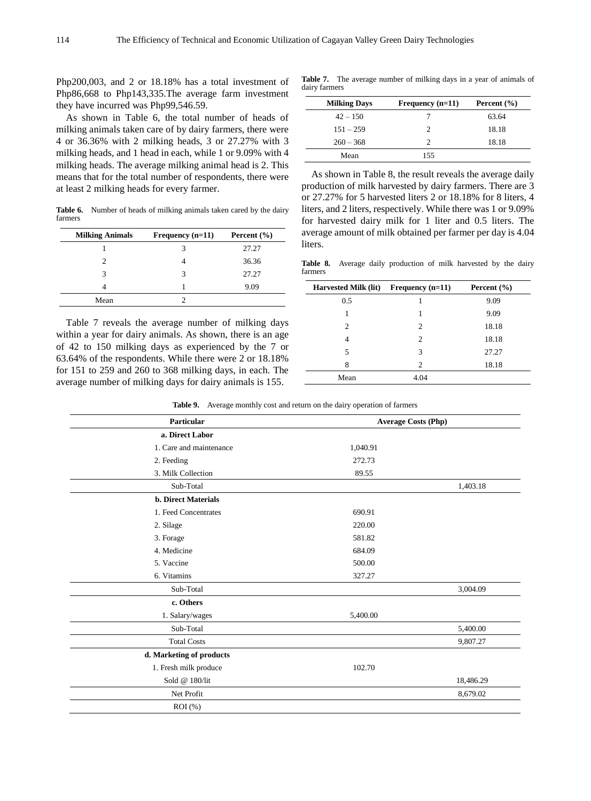Php200,003, and 2 or 18.18% has a total investment of Php86,668 to Php143,335.The average farm investment they have incurred was Php99,546.59.

As shown in Table 6, the total number of heads of milking animals taken care of by dairy farmers, there were 4 or 36.36% with 2 milking heads, 3 or 27.27% with 3 milking heads, and 1 head in each, while 1 or 9.09% with 4 milking heads. The average milking animal head is 2. This means that for the total number of respondents, there were at least 2 milking heads for every farmer.

Table 6. Number of heads of milking animals taken cared by the dairy farmers

| <b>Milking Animals</b> | Frequency $(n=11)$ | Percent $(\% )$ |
|------------------------|--------------------|-----------------|
|                        |                    | 27.27           |
|                        |                    | 36.36           |
|                        | 3                  | 27.27           |
|                        |                    | 9.09            |
| Mean                   |                    |                 |

Table 7 reveals the average number of milking days within a year for dairy animals. As shown, there is an age of 42 to 150 milking days as experienced by the 7 or 63.64% of the respondents. While there were 2 or 18.18% for 151 to 259 and 260 to 368 milking days, in each. The average number of milking days for dairy animals is 155.

**Table 7.** The average number of milking days in a year of animals of dairy farmers

| <b>Milking Days</b> | Frequency $(n=11)$ | Percent $(\% )$ |
|---------------------|--------------------|-----------------|
| $42 - 150$          |                    | 63.64           |
| $151 - 259$         | 2                  | 18.18           |
| $260 - 368$         | C                  | 18.18           |
| Mean                | 155                |                 |

As shown in Table 8, the result reveals the average daily production of milk harvested by dairy farmers. There are 3 or 27.27% for 5 harvested liters 2 or 18.18% for 8 liters, 4 liters, and 2 liters, respectively. While there was 1 or 9.09% for harvested dairy milk for 1 liter and 0.5 liters. The average amount of milk obtained per farmer per day is 4.04 liters.

**Table 8.** Average daily production of milk harvested by the dairy farmers

| <b>Harvested Milk (lit)</b> | Frequency $(n=11)$ | Percent $(\% )$ |
|-----------------------------|--------------------|-----------------|
| 0.5                         |                    | 9.09            |
|                             |                    | 9.09            |
| $\overline{c}$              | 2                  | 18.18           |
| 4                           | 2                  | 18.18           |
| 5                           | 3                  | 27.27           |
| 8                           | 2                  | 18.18           |
| Mean                        | 4.04               |                 |

**Table 9.** Average monthly cost and return on the dairy operation of farmers

l.

| Particular                 | <b>Average Costs (Php)</b> |           |
|----------------------------|----------------------------|-----------|
| a. Direct Labor            |                            |           |
| 1. Care and maintenance    | 1,040.91                   |           |
| 2. Feeding                 | 272.73                     |           |
| 3. Milk Collection         | 89.55                      |           |
| Sub-Total                  |                            | 1,403.18  |
| <b>b. Direct Materials</b> |                            |           |
| 1. Feed Concentrates       | 690.91                     |           |
| 2. Silage                  | 220.00                     |           |
| 3. Forage                  | 581.82                     |           |
| 4. Medicine                | 684.09                     |           |
| 5. Vaccine                 | 500.00                     |           |
| 6. Vitamins                | 327.27                     |           |
| Sub-Total                  |                            | 3,004.09  |
| c. Others                  |                            |           |
| 1. Salary/wages            | 5,400.00                   |           |
| Sub-Total                  |                            | 5,400.00  |
| <b>Total Costs</b>         |                            | 9,807.27  |
| d. Marketing of products   |                            |           |
| 1. Fresh milk produce      | 102.70                     |           |
| Sold @ 180/lit             |                            | 18,486.29 |
| Net Profit                 |                            | 8,679.02  |
| $ROI$ (%)                  |                            |           |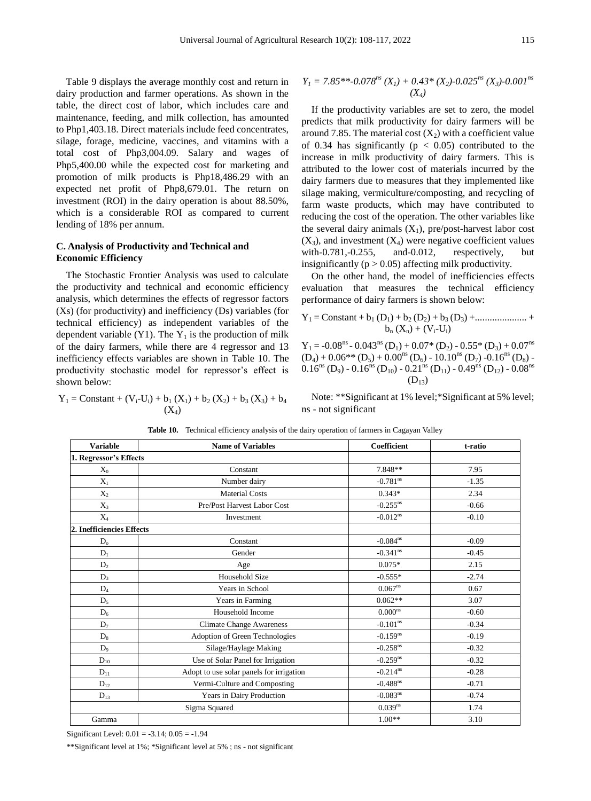Table 9 displays the average monthly cost and return in dairy production and farmer operations. As shown in the table, the direct cost of labor, which includes care and maintenance, feeding, and milk collection, has amounted to Php1,403.18. Direct materials include feed concentrates, silage, forage, medicine, vaccines, and vitamins with a total cost of Php3,004.09. Salary and wages of Php5,400.00 while the expected cost for marketing and promotion of milk products is Php18,486.29 with an expected net profit of Php8,679.01. The return on investment (ROI) in the dairy operation is about 88.50%, which is a considerable ROI as compared to current lending of 18% per annum.

#### **C. Analysis of Productivity and Technical and Economic Efficiency**

The Stochastic Frontier Analysis was used to calculate the productivity and technical and economic efficiency analysis, which determines the effects of regressor factors (Xs) (for productivity) and inefficiency (Ds) variables (for technical efficiency) as independent variables of the dependent variable (Y1). The  $Y_1$  is the production of milk of the dairy farmers, while there are 4 regressor and 13 inefficiency effects variables are shown in Table 10. The productivity stochastic model for repressor's effect is shown below:

 $Y_1 =$ Constant +  $(V_i-U_i) + b_1 (X_1) + b_2 (X_2) + b_3 (X_3) + b_4$  $(X_4)$ 

$$
Y_I = 7.85^{**} - 0.078^{ns}(X_I) + 0.43^*(X_2) - 0.025^{ns}(X_3) - 0.001^{ns}
$$
  
(X<sub>4</sub>)

If the productivity variables are set to zero, the model predicts that milk productivity for dairy farmers will be around 7.85. The material cost  $(X_2)$  with a coefficient value of 0.34 has significantly ( $p < 0.05$ ) contributed to the increase in milk productivity of dairy farmers. This is attributed to the lower cost of materials incurred by the dairy farmers due to measures that they implemented like silage making, vermiculture/composting, and recycling of farm waste products, which may have contributed to reducing the cost of the operation. The other variables like the several dairy animals  $(X_1)$ , pre/post-harvest labor cost  $(X_3)$ , and investment  $(X_4)$  were negative coefficient values with-0.781,-0.255, and-0.012, respectively, but insignificantly ( $p > 0.05$ ) affecting milk productivity.

On the other hand, the model of inefficiencies effects evaluation that measures the technical efficiency performance of dairy farmers is shown below:

$$
Y_1 = Constant + b_1 (D_1) + b_2 (D_2) + b_3 (D_3) + \dots + b_n (X_n) + (V_i-U_i)
$$

 $Y_1 = -0.08^{ns} - 0.043^{ns} (D_1) + 0.07^* (D_2) - 0.55^* (D_3) + 0.07^{ns}$  $(D_4) + 0.06^{**} (D_5) + 0.00^{ns} (D_6) - 10.10^{ns} (D_7) - 0.16^{ns} (D_8)$  $0.16^{ns}$  (D<sub>9</sub>) -  $0.16^{ns}$  (D<sub>10</sub>) -  $0.21^{ns}$  (D<sub>11</sub>) -  $0.49^{ns}$  (D<sub>12</sub>) -  $0.08^{ns}$  $(D_{13})$ 

Note: \*\*Significant at 1% level;\*Significant at 5% level; ns - not significant

| <b>Variable</b>           | <b>Name of Variables</b>                 | <b>Coefficient</b>     | t-ratio |
|---------------------------|------------------------------------------|------------------------|---------|
| 1. Regressor's Effects    |                                          |                        |         |
| $X_0$                     | Constant                                 | 7.848**                | 7.95    |
| $X_1$                     | Number dairy                             | $-0.781$ <sup>ns</sup> | $-1.35$ |
| $X_2$                     | <b>Material Costs</b>                    | $0.343*$               | 2.34    |
| $X_3$                     | Pre/Post Harvest Labor Cost              | $-0.255^{ns}$          | $-0.66$ |
| $X_4$                     | Investment                               | $-0.012$ <sup>ns</sup> | $-0.10$ |
| 2. Inefficiencies Effects |                                          |                        |         |
| $D_{o}$                   | Constant                                 | $-0.084$ <sup>ns</sup> | $-0.09$ |
| $D_1$                     | Gender                                   | $-0.341$ <sup>ns</sup> | $-0.45$ |
| $D_2$                     | Age                                      | $0.075*$               | 2.15    |
| $D_3$                     | <b>Household Size</b>                    | $-0.555*$              | $-2.74$ |
| $D_4$                     | Years in School                          | $0.067^{ns}$           | 0.67    |
| $D_5$                     | Years in Farming                         | $0.062**$              | 3.07    |
| $D_6$                     | Household Income                         | $0.000$ <sup>ns</sup>  | $-0.60$ |
| $D_7$                     | <b>Climate Change Awareness</b>          | $-0.101$ <sup>ns</sup> | $-0.34$ |
| $D_8$                     | Adoption of Green Technologies           | $-0.159$ <sup>ns</sup> | $-0.19$ |
| $D_9$                     | Silage/Haylage Making                    | $-0.258$ <sup>ns</sup> | $-0.32$ |
| $D_{10}$                  | Use of Solar Panel for Irrigation        | $-0.259$ <sup>ns</sup> | $-0.32$ |
| $D_{11}$                  | Adopt to use solar panels for irrigation | $-0.214$ <sup>ns</sup> | $-0.28$ |
| $D_{12}$                  | Vermi-Culture and Composting             | $-0.488$ <sup>ns</sup> | $-0.71$ |
| $D_{13}$                  | Years in Dairy Production                | $-0.083^{ns}$          | $-0.74$ |
|                           | Sigma Squared                            | $0.039^{ns}$           | 1.74    |
| Gamma                     |                                          | $1.00**$               | 3.10    |

**Table 10.** Technical efficiency analysis of the dairy operation of farmers in Cagayan Valley

Significant Level: 0.01 = -3.14; 0.05 = -1.94

\*\*Significant level at 1%; \*Significant level at 5% ; ns - not significant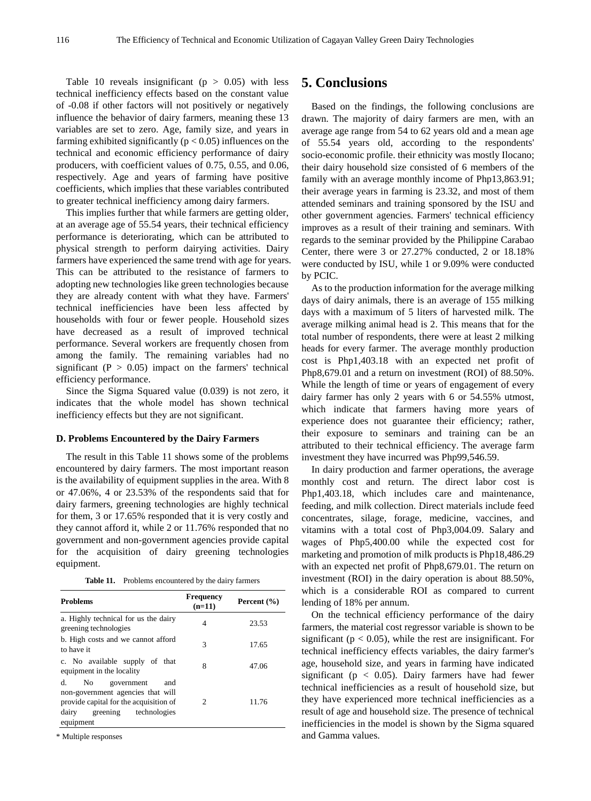Table 10 reveals insignificant ( $p > 0.05$ ) with less technical inefficiency effects based on the constant value of -0.08 if other factors will not positively or negatively influence the behavior of dairy farmers, meaning these 13 variables are set to zero. Age, family size, and years in farming exhibited significantly ( $p < 0.05$ ) influences on the technical and economic efficiency performance of dairy producers, with coefficient values of 0.75, 0.55, and 0.06, respectively. Age and years of farming have positive coefficients, which implies that these variables contributed to greater technical inefficiency among dairy farmers.

This implies further that while farmers are getting older, at an average age of 55.54 years, their technical efficiency performance is deteriorating, which can be attributed to physical strength to perform dairying activities. Dairy farmers have experienced the same trend with age for years. This can be attributed to the resistance of farmers to adopting new technologies like green technologies because they are already content with what they have. Farmers' technical inefficiencies have been less affected by households with four or fewer people. Household sizes have decreased as a result of improved technical performance. Several workers are frequently chosen from among the family. The remaining variables had no significant ( $P > 0.05$ ) impact on the farmers' technical efficiency performance.

Since the Sigma Squared value (0.039) is not zero, it indicates that the whole model has shown technical inefficiency effects but they are not significant.

#### **D. Problems Encountered by the Dairy Farmers**

The result in this Table 11 shows some of the problems encountered by dairy farmers. The most important reason is the availability of equipment supplies in the area. With 8 or 47.06%, 4 or 23.53% of the respondents said that for dairy farmers, greening technologies are highly technical for them, 3 or 17.65% responded that it is very costly and they cannot afford it, while 2 or 11.76% responded that no government and non-government agencies provide capital for the acquisition of dairy greening technologies equipment.

| Table 11.<br>Problems encountered by the dairy farmers |  |
|--------------------------------------------------------|--|
|--------------------------------------------------------|--|

| <b>Problems</b>                                                                                                                                             | Frequency<br>$(n=11)$ | Percent (%) |
|-------------------------------------------------------------------------------------------------------------------------------------------------------------|-----------------------|-------------|
| a. Highly technical for us the dairy<br>greening technologies                                                                                               | 4                     | 23.53       |
| b. High costs and we cannot afford<br>to have it                                                                                                            | 3                     | 17.65       |
| c. No available supply of that<br>equipment in the locality                                                                                                 | 8                     | 47.06       |
| d.<br>No<br>and<br>government<br>non-government agencies that will<br>provide capital for the acquisition of<br>greening technologies<br>dairy<br>equipment | 2                     | 11.76       |

\* Multiple responses

## **5. Conclusions**

Based on the findings, the following conclusions are drawn. The majority of dairy farmers are men, with an average age range from 54 to 62 years old and a mean age of 55.54 years old, according to the respondents' socio-economic profile. their ethnicity was mostly Ilocano; their dairy household size consisted of 6 members of the family with an average monthly income of Php13,863.91; their average years in farming is 23.32, and most of them attended seminars and training sponsored by the ISU and other government agencies. Farmers' technical efficiency improves as a result of their training and seminars. With regards to the seminar provided by the Philippine Carabao Center, there were 3 or 27.27% conducted, 2 or 18.18% were conducted by ISU, while 1 or 9.09% were conducted by PCIC.

As to the production information for the average milking days of dairy animals, there is an average of 155 milking days with a maximum of 5 liters of harvested milk. The average milking animal head is 2. This means that for the total number of respondents, there were at least 2 milking heads for every farmer. The average monthly production cost is Php1,403.18 with an expected net profit of Php8,679.01 and a return on investment (ROI) of 88.50%. While the length of time or years of engagement of every dairy farmer has only 2 years with 6 or 54.55% utmost, which indicate that farmers having more years of experience does not guarantee their efficiency; rather, their exposure to seminars and training can be an attributed to their technical efficiency. The average farm investment they have incurred was Php99,546.59.

In dairy production and farmer operations, the average monthly cost and return. The direct labor cost is Php1,403.18, which includes care and maintenance, feeding, and milk collection. Direct materials include feed concentrates, silage, forage, medicine, vaccines, and vitamins with a total cost of Php3,004.09. Salary and wages of Php5,400.00 while the expected cost for marketing and promotion of milk products is Php18,486.29 with an expected net profit of Php8,679.01. The return on investment (ROI) in the dairy operation is about 88.50%, which is a considerable ROI as compared to current lending of 18% per annum.

On the technical efficiency performance of the dairy farmers, the material cost regressor variable is shown to be significant ( $p < 0.05$ ), while the rest are insignificant. For technical inefficiency effects variables, the dairy farmer's age, household size, and years in farming have indicated significant ( $p < 0.05$ ). Dairy farmers have had fewer technical inefficiencies as a result of household size, but they have experienced more technical inefficiencies as a result of age and household size. The presence of technical inefficiencies in the model is shown by the Sigma squared and Gamma values.